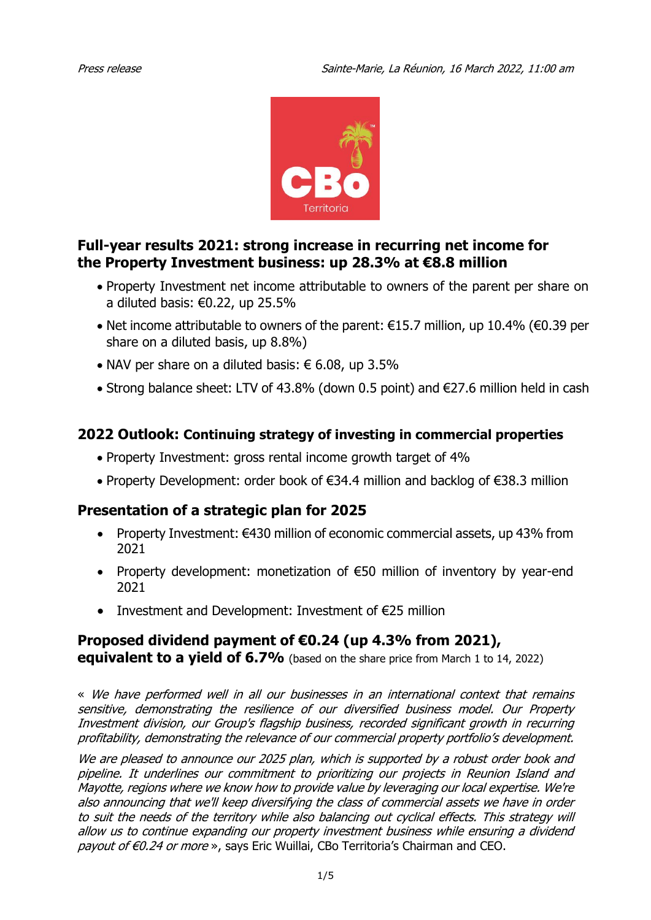

# **Full-year results 2021: strong increase in recurring net income for the Property Investment business: up 28.3% at €8.8 million**

- Property Investment net income attributable to owners of the parent per share on a diluted basis:  $€0.22$ , up 25.5%
- Net income attributable to owners of the parent: €15.7 million, up 10.4% (€0.39 per share on a diluted basis, up 8.8%)
- NAV per share on a diluted basis:  $\epsilon$  6.08, up 3.5%
- Strong balance sheet: LTV of 43.8% (down 0.5 point) and €27.6 million held in cash

# **2022 Outlook: Continuing strategy of investing in commercial properties**

- Property Investment: gross rental income growth target of 4%
- Property Development: order book of €34.4 million and backlog of €38.3 million

# **Presentation of a strategic plan for 2025**

- Property Investment: €430 million of economic commercial assets, up 43% from 2021
- Property development: monetization of €50 million of inventory by year-end 2021
- Investment and Development: Investment of €25 million

# **Proposed dividend payment of €0.24 (up 4.3% from 2021),**

**equivalent to a vield of 6.7%** (based on the share price from March 1 to 14, 2022)

« We have performed well in all our businesses in an international context that remains sensitive, demonstrating the resilience of our diversified business model. Our Property Investment division, our Group's flagship business, recorded significant growth in recurring profitability, demonstrating the relevance of our commercial property portfolio's development.

We are pleased to announce our 2025 plan, which is supported by a robust order book and pipeline. It underlines our commitment to prioritizing our projects in Reunion Island and Mayotte, regions where we know how to provide value by leveraging our local expertise. We're also announcing that we'll keep diversifying the class of commercial assets we have in order to suit the needs of the territory while also balancing out cyclical effects. This strategy will allow us to continue expanding our property investment business while ensuring a dividend payout of €0.24 or more », says Eric Wuillai, CBo Territoria's Chairman and CEO.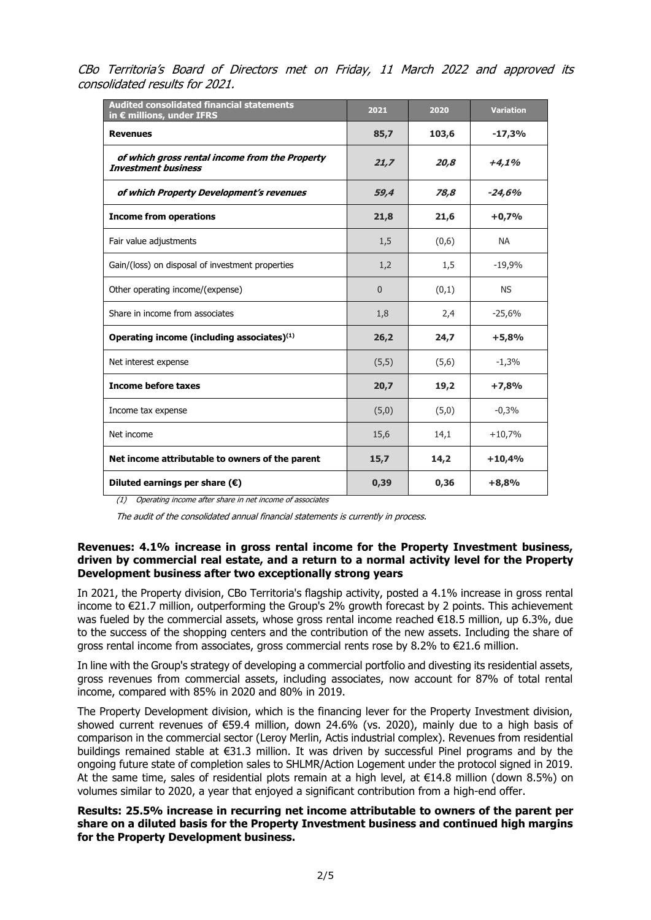CBo Territoria's Board of Directors met on Friday, 11 March 2022 and approved its consolidated results for 2021.

| <b>Audited consolidated financial statements</b><br>in € millions, under IFRS | 2021     | 2020  | <b>Variation</b> |
|-------------------------------------------------------------------------------|----------|-------|------------------|
| <b>Revenues</b>                                                               | 85,7     | 103,6 | $-17,3%$         |
| of which gross rental income from the Property<br><b>Investment business</b>  | 21,7     | 20,8  | $+4,1%$          |
| of which Property Development's revenues                                      | 59,4     | 78,8  | $-24,6%$         |
| <b>Income from operations</b>                                                 | 21,8     | 21,6  | $+0,7%$          |
| Fair value adjustments                                                        | 1,5      | (0,6) | <b>NA</b>        |
| Gain/(loss) on disposal of investment properties                              | 1,2      | 1,5   | $-19,9%$         |
| Other operating income/(expense)                                              | $\Omega$ | (0,1) | <b>NS</b>        |
| Share in income from associates                                               | 1,8      | 2,4   | $-25,6%$         |
| Operating income (including associates) $(1)$                                 | 26,2     | 24,7  | $+5,8%$          |
| Net interest expense                                                          | (5,5)    | (5,6) | $-1,3%$          |
| <b>Income before taxes</b>                                                    | 20,7     | 19,2  | $+7,8%$          |
| Income tax expense                                                            | (5,0)    | (5,0) | $-0,3%$          |
| Net income                                                                    | 15,6     | 14,1  | $+10,7%$         |
| Net income attributable to owners of the parent                               | 15,7     | 14,2  | $+10,4%$         |
| Diluted earnings per share $(\epsilon)$                                       | 0,39     | 0,36  | $+8,8%$          |

(1) Operating income after share in net income of associates

The audit of the consolidated annual financial statements is currently in process.

#### **Revenues: 4.1% increase in gross rental income for the Property Investment business, driven by commercial real estate, and a return to a normal activity level for the Property Development business after two exceptionally strong years**

In 2021, the Property division, CBo Territoria's flagship activity, posted a 4.1% increase in gross rental income to €21.7 million, outperforming the Group's 2% growth forecast by 2 points. This achievement was fueled by the commercial assets, whose gross rental income reached €18.5 million, up 6.3%, due to the success of the shopping centers and the contribution of the new assets. Including the share of gross rental income from associates, gross commercial rents rose by 8.2% to €21.6 million.

In line with the Group's strategy of developing a commercial portfolio and divesting its residential assets, gross revenues from commercial assets, including associates, now account for 87% of total rental income, compared with 85% in 2020 and 80% in 2019.

The Property Development division, which is the financing lever for the Property Investment division, showed current revenues of €59.4 million, down 24.6% (vs. 2020), mainly due to a high basis of comparison in the commercial sector (Leroy Merlin, Actis industrial complex). Revenues from residential buildings remained stable at €31.3 million. It was driven by successful Pinel programs and by the ongoing future state of completion sales to SHLMR/Action Logement under the protocol signed in 2019. At the same time, sales of residential plots remain at a high level, at €14.8 million (down 8.5%) on volumes similar to 2020, a year that enjoyed a significant contribution from a high-end offer.

**Results: 25.5% increase in recurring net income attributable to owners of the parent per share on a diluted basis for the Property Investment business and continued high margins for the Property Development business.**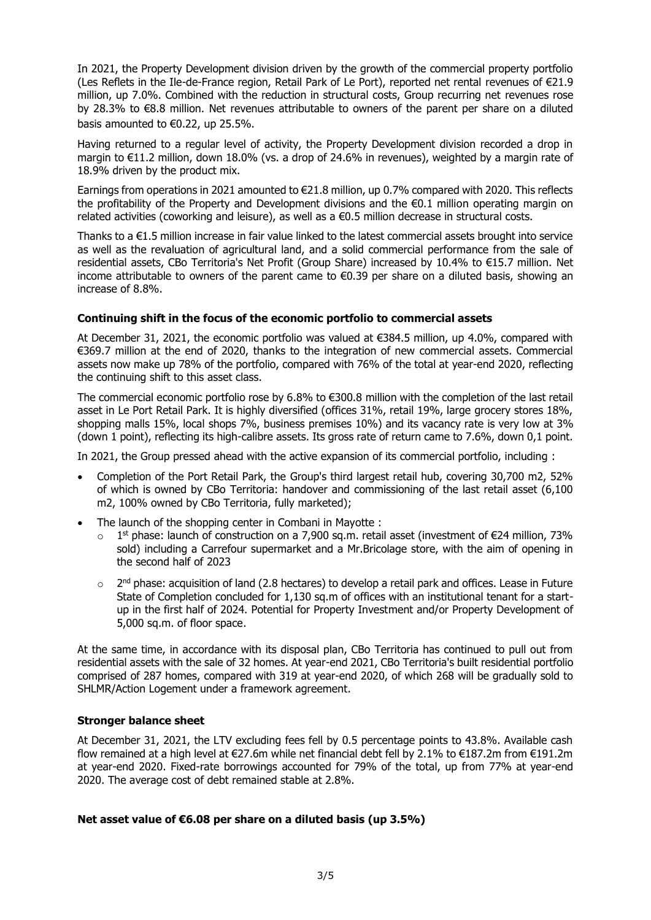In 2021, the Property Development division driven by the growth of the commercial property portfolio (Les Reflets in the Ile-de-France region, Retail Park of Le Port), reported net rental revenues of €21.9 million, up 7.0%. Combined with the reduction in structural costs, Group recurring net revenues rose by 28.3% to €8.8 million. Net revenues attributable to owners of the parent per share on a diluted basis amounted to  $\epsilon$ 0.22, up 25.5%.

Having returned to a regular level of activity, the Property Development division recorded a drop in margin to €11.2 million, down 18.0% (vs. a drop of 24.6% in revenues), weighted by a margin rate of 18.9% driven by the product mix.

Earnings from operations in 2021 amounted to €21.8 million, up 0.7% compared with 2020. This reflects the profitability of the Property and Development divisions and the  $\epsilon$ 0.1 million operating margin on related activities (coworking and leisure), as well as a €0.5 million decrease in structural costs.

Thanks to a €1.5 million increase in fair value linked to the latest commercial assets brought into service as well as the revaluation of agricultural land, and a solid commercial performance from the sale of residential assets, CBo Territoria's Net Profit (Group Share) increased by 10.4% to €15.7 million. Net income attributable to owners of the parent came to €0.39 per share on a diluted basis, showing an increase of 8.8%.

## **Continuing shift in the focus of the economic portfolio to commercial assets**

At December 31, 2021, the economic portfolio was valued at €384.5 million, up 4.0%, compared with €369.7 million at the end of 2020, thanks to the integration of new commercial assets. Commercial assets now make up 78% of the portfolio, compared with 76% of the total at year-end 2020, reflecting the continuing shift to this asset class.

The commercial economic portfolio rose by 6.8% to €300.8 million with the completion of the last retail asset in Le Port Retail Park. It is highly diversified (offices 31%, retail 19%, large grocery stores 18%, shopping malls 15%, local shops 7%, business premises 10%) and its vacancy rate is very low at 3% (down 1 point), reflecting its high-calibre assets. Its gross rate of return came to 7.6%, down 0,1 point.

In 2021, the Group pressed ahead with the active expansion of its commercial portfolio, including :

- Completion of the Port Retail Park, the Group's third largest retail hub, covering 30,700 m2, 52% of which is owned by CBo Territoria: handover and commissioning of the last retail asset (6,100 m2, 100% owned by CBo Territoria, fully marketed);
- The launch of the shopping center in Combani in Mayotte :
	- $\circ$  1<sup>st</sup> phase: launch of construction on a 7,900 sq.m. retail asset (investment of €24 million, 73% sold) including a Carrefour supermarket and a Mr.Bricolage store, with the aim of opening in the second half of 2023
	- $\circ$  2<sup>nd</sup> phase: acquisition of land (2.8 hectares) to develop a retail park and offices. Lease in Future State of Completion concluded for 1,130 sq.m of offices with an institutional tenant for a startup in the first half of 2024. Potential for Property Investment and/or Property Development of 5,000 sq.m. of floor space.

At the same time, in accordance with its disposal plan, CBo Territoria has continued to pull out from residential assets with the sale of 32 homes. At year-end 2021, CBo Territoria's built residential portfolio comprised of 287 homes, compared with 319 at year-end 2020, of which 268 will be gradually sold to SHLMR/Action Logement under a framework agreement.

#### **Stronger balance sheet**

At December 31, 2021, the LTV excluding fees fell by 0.5 percentage points to 43.8%. Available cash flow remained at a high level at €27.6m while net financial debt fell by 2.1% to €187.2m from €191.2m at year-end 2020. Fixed-rate borrowings accounted for 79% of the total, up from 77% at year-end 2020. The average cost of debt remained stable at 2.8%.

#### **Net asset value of €6.08 per share on a diluted basis (up 3.5%)**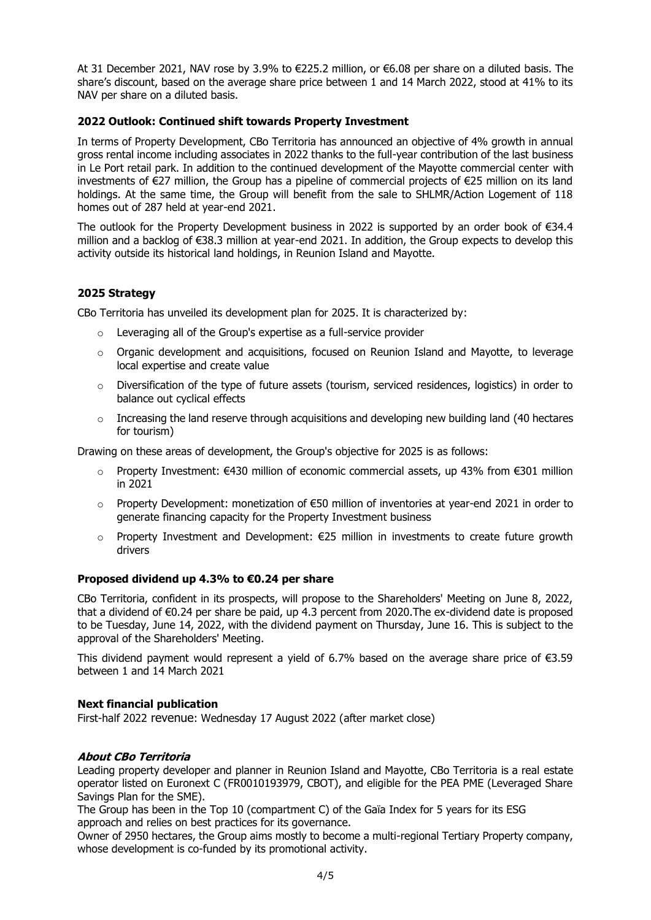At 31 December 2021, NAV rose by 3.9% to €225.2 million, or €6.08 per share on a diluted basis. The share's discount, based on the average share price between 1 and 14 March 2022, stood at 41% to its NAV per share on a diluted basis.

## **2022 Outlook: Continued shift towards Property Investment**

In terms of Property Development, CBo Territoria has announced an objective of 4% growth in annual gross rental income including associates in 2022 thanks to the full-year contribution of the last business in Le Port retail park. In addition to the continued development of the Mayotte commercial center with investments of €27 million, the Group has a pipeline of commercial projects of €25 million on its land holdings. At the same time, the Group will benefit from the sale to SHLMR/Action Logement of 118 homes out of 287 held at year-end 2021.

The outlook for the Property Development business in 2022 is supported by an order book of €34.4 million and a backlog of €38.3 million at year-end 2021. In addition, the Group expects to develop this activity outside its historical land holdings, in Reunion Island and Mayotte.

## **2025 Strategy**

CBo Territoria has unveiled its development plan for 2025. It is characterized by:

- o Leveraging all of the Group's expertise as a full-service provider
- $\circ$  Organic development and acquisitions, focused on Reunion Island and Mayotte, to leverage local expertise and create value
- o Diversification of the type of future assets (tourism, serviced residences, logistics) in order to balance out cyclical effects
- $\circ$  Increasing the land reserve through acquisitions and developing new building land (40 hectares for tourism)

Drawing on these areas of development, the Group's objective for 2025 is as follows:

- $\circ$  Property Investment: €430 million of economic commercial assets, up 43% from €301 million in 2021
- $\circ$  Property Development: monetization of €50 million of inventories at year-end 2021 in order to generate financing capacity for the Property Investment business
- $\circ$  Property Investment and Development: €25 million in investments to create future growth drivers

#### **Proposed dividend up 4.3% to €0.24 per share**

CBo Territoria, confident in its prospects, will propose to the Shareholders' Meeting on June 8, 2022, that a dividend of €0.24 per share be paid, up 4.3 percent from 2020.The ex-dividend date is proposed to be Tuesday, June 14, 2022, with the dividend payment on Thursday, June 16. This is subject to the approval of the Shareholders' Meeting.

This dividend payment would represent a yield of 6.7% based on the average share price of  $\epsilon$ 3.59 between 1 and 14 March 2021

#### **Next financial publication**

First-half 2022 revenue: Wednesday 17 August 2022 (after market close)

#### **About CBo Territoria**

Leading property developer and planner in Reunion Island and Mayotte, CBo Territoria is a real estate operator listed on Euronext C (FR0010193979, CBOT), and eligible for the PEA PME (Leveraged Share Savings Plan for the SME).

The Group has been in the Top 10 (compartment C) of the Gaïa Index for 5 years for its ESG approach and relies on best practices for its governance.

Owner of 2950 hectares, the Group aims mostly to become a multi-regional Tertiary Property company, whose development is co-funded by its promotional activity.